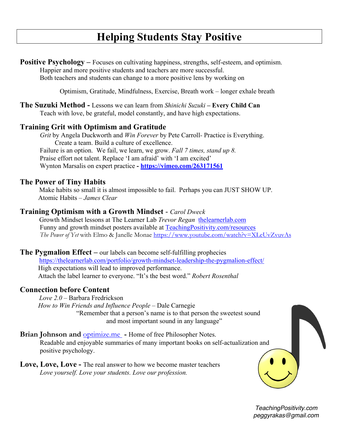# **Helping Students Stay Positive**

**Positive Psychology** – Focuses on cultivating happiness, strengths, self-esteem, and optimism. Happier and more positive students and teachers are more successful. Both teachers and students can change to a more positive lens by working on

Optimism, Gratitude, Mindfulness, Exercise, Breath work – longer exhale breath

**The Suzuki Method -** Lessons we can learn from *Shinichi Suzuki* **– Every Child Can** Teach with love, be grateful, model constantly, and have high expectations.

## **Training Grit with Optimism and Gratitude**

*Grit* by Angela Duckworth and *Win Forever* by Pete Carroll*-* Practice is Everything. Create a team. Build a culture of excellence. Failure is an option. We fail, we learn, we grow. *Fall 7 times, stand up 8.* Praise effort not talent. Replace 'I am afraid' with 'I am excited' Wynton Marsalis on expert practice **- https://vimeo.com/263171561**

## **The Power of Tiny Habits**

Make habits so small it is almost impossible to fail. Perhaps you can JUST SHOW UP. Atomic Habits – *James Clear*

## **Training Optimism with a Growth Mindset** - *Carol Dweck*

 Growth Mindset lessons at The Learner Lab *Trevor Regan* thelearnerlab.com Funny and growth mindset posters available at TeachingPositivity.com/resources*The Power of Yet* with Elmo & Janelle Monae https://www.youtube.com/watch?v=XLeUvZvuvAs

#### **The Pygmalion Effect –** our labels can become self-fulfilling prophecies

https://thelearnerlab.com/portfolio/growth-mindset-leadership-the-pygmalion-effect/ High expectations will lead to improved performance. Attach the label learner to everyone. "It's the best word." *Robert Rosenthal*

#### **Connection before Content**

*Love 2.0* – Barbara Fredrickson *How to Win Friends and Influence People* – Dale Carnegie "Remember that a person's name is to that person the sweetest sound and most important sound in any language"

**Brian Johnson and <b>optimize.me** - Home of free Philosopher Notes. Readable and enjoyable summaries of many important books on self-actualization and positive psychology.

**Love, Love, Love -** The real answer to how we become master teachers *Love yourself. Love your students. Love our profession.*



 *TeachingPositivity.com peggyrakas@gmail.com*